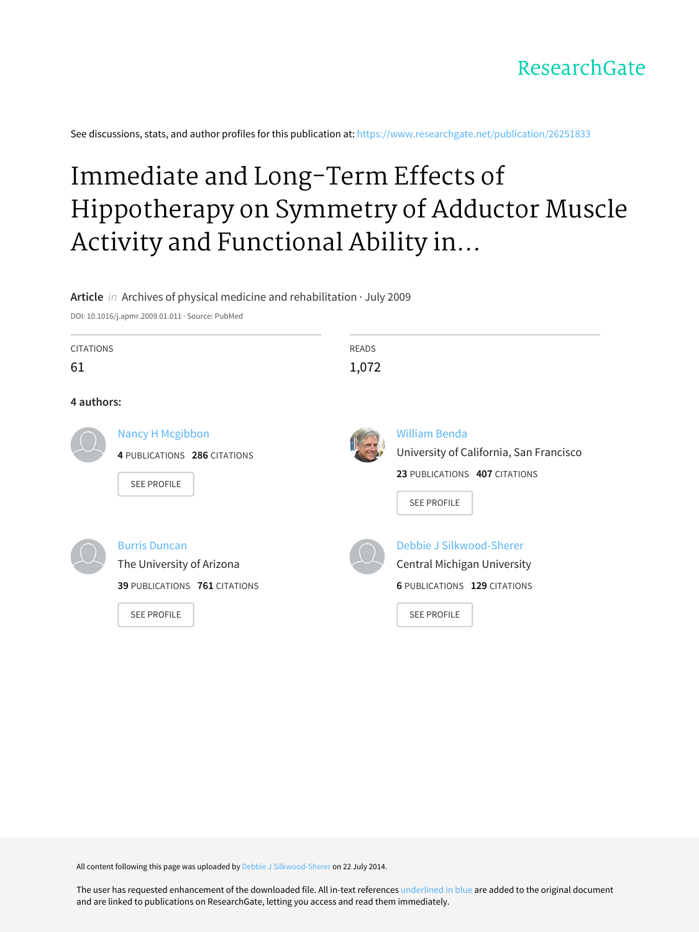See discussions, stats, and author profiles for this publication at: [https://www.researchgate.net/publication/26251833](https://www.researchgate.net/publication/26251833_Immediate_and_Long-Term_Effects_of_Hippotherapy_on_Symmetry_of_Adductor_Muscle_Activity_and_Functional_Ability_in_Children_With_Spastic_Cerebral_Palsy?enrichId=rgreq-b7e254b5dcd6b5446fdec8918ad9fb0a-XXX&enrichSource=Y292ZXJQYWdlOzI2MjUxODMzO0FTOjEyMTg1NDE4MjMwMTY5NkAxNDA2MDYzNzA5NDY4&el=1_x_2&_esc=publicationCoverPdf)

# Immediate and Long-Term Effects of Hippotherapy on Symmetry of Adductor Muscle Activity and Functional Ability in...

### **Article** in Archives of physical medicine and rehabilitation · July 2009

DOI: 10.1016/j.apmr.2009.01.011 · Source: PubMed

| <b>CITATIONS</b><br>61 |                                                                                                          | <b>READS</b><br>1,072 |                                                                                                                        |
|------------------------|----------------------------------------------------------------------------------------------------------|-----------------------|------------------------------------------------------------------------------------------------------------------------|
| 4 authors:             |                                                                                                          |                       |                                                                                                                        |
|                        | <b>Nancy H Mcgibbon</b><br>4 PUBLICATIONS 286 CITATIONS<br><b>SEE PROFILE</b>                            |                       | <b>William Benda</b><br>University of California, San Francisco<br>23 PUBLICATIONS 407 CITATIONS<br><b>SEE PROFILE</b> |
|                        | <b>Burris Duncan</b><br>The University of Arizona<br>39 PUBLICATIONS 761 CITATIONS<br><b>SEE PROFILE</b> |                       | Debbie J Silkwood-Sherer<br>Central Michigan University<br><b>6 PUBLICATIONS 129 CITATIONS</b><br><b>SEE PROFILE</b>   |

All content following this page was uploaded by Debbie J [Silkwood-Sherer](https://www.researchgate.net/profile/Debbie_Silkwood-Sherer?enrichId=rgreq-b7e254b5dcd6b5446fdec8918ad9fb0a-XXX&enrichSource=Y292ZXJQYWdlOzI2MjUxODMzO0FTOjEyMTg1NDE4MjMwMTY5NkAxNDA2MDYzNzA5NDY4&el=1_x_10&_esc=publicationCoverPdf) on 22 July 2014.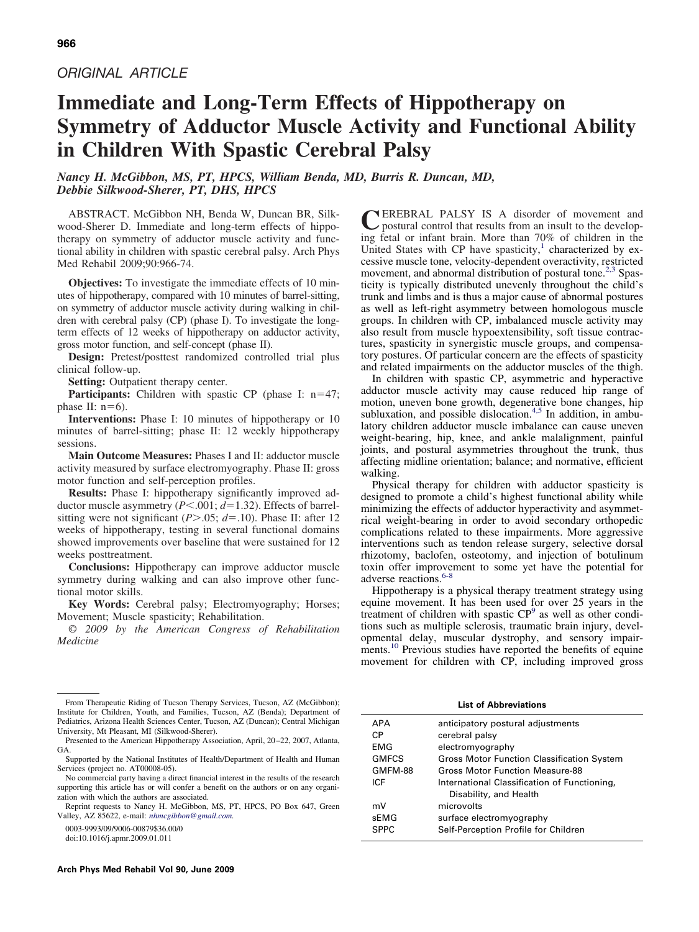# *ORIGINAL ARTICLE*

# **Immediate and Long-Term Effects of Hippotherapy on Symmetry of Adductor Muscle Activity and Functional Ability in Children With Spastic Cerebral Palsy**

*Nancy H. McGibbon, MS, PT, HPCS, William Benda, MD, Burris R. Duncan, MD, Debbie Silkwood-Sherer, PT, DHS, HPCS*

ABSTRACT. McGibbon NH, Benda W, Duncan BR, Silkwood-Sherer D. Immediate and long-term effects of hippotherapy on symmetry of adductor muscle activity and functional ability in children with spastic cerebral palsy. Arch Phys Med Rehabil 2009;90:966-74.

**Objectives:** To investigate the immediate effects of 10 minutes of hippotherapy, compared with 10 minutes of barrel-sitting, on symmetry of adductor muscle activity during walking in children with cerebral palsy (CP) (phase I). To investigate the longterm effects of 12 weeks of hippotherapy on adductor activity, gross motor function, and self-concept (phase II).

**Design:** Pretest/posttest randomized controlled trial plus clinical follow-up.

**Setting:** Outpatient therapy center.

**Participants:** Children with spastic CP (phase I:  $n=47$ ; phase II:  $n=6$ ).

**Interventions:** Phase I: 10 minutes of hippotherapy or 10 minutes of barrel-sitting; phase II: 12 weekly hippotherapy sessions.

**Main Outcome Measures:** Phases I and II: adductor muscle activity measured by surface electromyography. Phase II: gross motor function and self-perception profiles.

**Results:** Phase I: hippotherapy significantly improved adductor muscle asymmetry (*P*<.001; *d*=1.32). Effects of barrelsitting were not significant ( $P$ >.05;  $d$ =.10). Phase II: after 12 weeks of hippotherapy, testing in several functional domains showed improvements over baseline that were sustained for 12 weeks posttreatment.

**Conclusions:** Hippotherapy can improve adductor muscle symmetry during walking and can also improve other functional motor skills.

**Key Words:** Cerebral palsy; Electromyography; Horses; Movement; Muscle spasticity; Rehabilitation.

© *2009 by the American Congress of Rehabilitation Medicine*

0003-9993/09/9006-00879\$36.00/0

doi:10.1016/j.apmr.2009.01.011

CEREBRAL PALSY IS A disorder of movement and postural control that results from an insult to the developing fetal or infant brain. More than 70% of children in the United States with CP have spasticity, $\frac{1}{1}$  characterized by excessive muscle tone, velocity-dependent overactivity, restricted movement, and abnormal distribution of postural tone.<sup>[2,3](#page-8-0)</sup> Spasticity is typically distributed unevenly throughout the child's trunk and limbs and is thus a major cause of abnormal postures as well as left-right asymmetry between homologous muscle groups. In children with CP, imbalanced muscle activity may also result from muscle hypoextensibility, soft tissue contractures, spasticity in synergistic muscle groups, and compensatory postures. Of particular concern are the effects of spasticity and related impairments on the adductor muscles of the thigh.

In children with spastic CP, asymmetric and hyperactive adductor muscle activity may cause reduced hip range of motion, uneven bone growth, degenerative bone changes, hip subluxation, and possible dislocation.<sup>[4,5](#page-8-0)</sup> In addition, in ambulatory children adductor muscle imbalance can cause uneven weight-bearing, hip, knee, and ankle malalignment, painful joints, and postural asymmetries throughout the trunk, thus affecting midline orientation; balance; and normative, efficient walking.

Physical therapy for children with adductor spasticity is designed to promote a child's highest functional ability while minimizing the effects of adductor hyperactivity and asymmetrical weight-bearing in order to avoid secondary orthopedic complications related to these impairments. More aggressive interventions such as tendon release surgery, selective dorsal rhizotomy, baclofen, osteotomy, and injection of botulinum toxin offer improvement to some yet have the potential for adverse reactions.<sup>6-8</sup>

Hippotherapy is a physical therapy treatment strategy using equine movement. It has been used for over 25 years in the treatment of children with spastic CP<sup>9</sup> as well as other conditions such as multiple sclerosis, traumatic brain injury, developmental delay, muscular dystrophy, and sensory impair-ments.<sup>[10](#page-9-0)</sup> Previous studies have reported the benefits of equine movement for children with CP, including improved gross

**List of Abbreviations**

| <b>APA</b><br>CP.<br>EMG<br><b>GMFCS</b> | anticipatory postural adjustments<br>cerebral palsy<br>electromyography<br><b>Gross Motor Function Classification System</b> |
|------------------------------------------|------------------------------------------------------------------------------------------------------------------------------|
| GMFM-88                                  | Gross Motor Function Measure-88                                                                                              |
| ICE                                      | International Classification of Functioning,                                                                                 |
|                                          | Disability, and Health                                                                                                       |
| mV                                       | microvolts                                                                                                                   |
| sEMG                                     | surface electromyography                                                                                                     |
| <b>SPPC</b>                              | Self-Perception Profile for Children                                                                                         |
|                                          |                                                                                                                              |

From Therapeutic Riding of Tucson Therapy Services, Tucson, AZ (McGibbon); Institute for Children, Youth, and Families, Tucson, AZ (Benda); Department of Pediatrics, Arizona Health Sciences Center, Tucson, AZ (Duncan); Central Michigan University, Mt Pleasant, MI (Silkwood-Sherer).

Presented to the American Hippotherapy Association, April, 20-22, 2007, Atlanta, GA.

Supported by the National Institutes of Health/Department of Health and Human Services (project no. AT00008-05).

No commercial party having a direct financial interest in the results of the research supporting this article has or will confer a benefit on the authors or on any organization with which the authors are associated.

Reprint requests to Nancy H. McGibbon, MS, PT, HPCS, PO Box 647, Green Valley, AZ 85622, e-mail: *[nhmcgibbon@gmail.com.](mailto:nhmcgibbon@gmail.com)*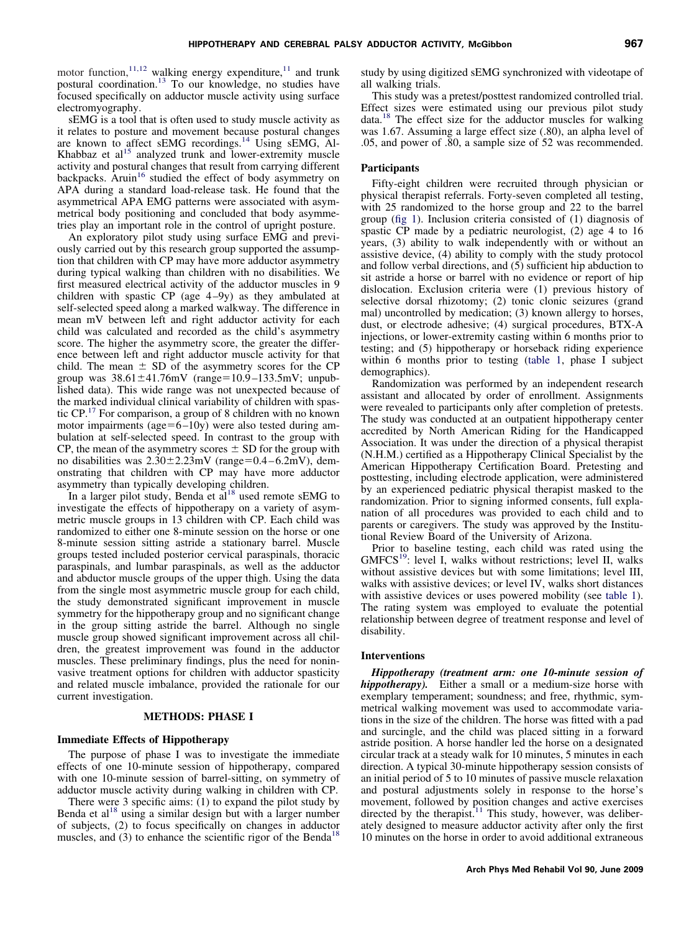motor function,  $11,12$  walking energy expenditure,  $11$  and trunk postural coordination.[13](#page-9-0) To our knowledge, no studies have focused specifically on adductor muscle activity using surface electromyography.

sEMG is a tool that is often used to study muscle activity as it relates to posture and movement because postural changes are known to affect sEMG recordings.<sup>[14](#page-9-0)</sup> Using sEMG, Al-Khabbaz et  $al<sup>15</sup>$  $al<sup>15</sup>$  $al<sup>15</sup>$  analyzed trunk and lower-extremity muscle activity and postural changes that result from carrying different backpacks. Aruin<sup>[16](#page-9-0)</sup> studied the effect of body asymmetry on APA during a standard load-release task. He found that the asymmetrical APA EMG patterns were associated with asymmetrical body positioning and concluded that body asymmetries play an important role in the control of upright posture.

An exploratory pilot study using surface EMG and previously carried out by this research group supported the assumption that children with CP may have more adductor asymmetry during typical walking than children with no disabilities. We first measured electrical activity of the adductor muscles in 9 children with spastic CP (age 4-9y) as they ambulated at self-selected speed along a marked walkway. The difference in mean mV between left and right adductor activity for each child was calculated and recorded as the child's asymmetry score. The higher the asymmetry score, the greater the difference between left and right adductor muscle activity for that child. The mean  $\pm$  SD of the asymmetry scores for the CP group was  $38.61 \pm 41.76$ mV (range=10.9-133.5mV; unpublished data). This wide range was not unexpected because of the marked individual clinical variability of children with spastic CP.[17](#page-9-0) For comparison, a group of 8 children with no known motor impairments (age= $6 - 10y$ ) were also tested during ambulation at self-selected speed. In contrast to the group with CP, the mean of the asymmetry scores  $\pm$  SD for the group with no disabilities was  $2.30 \pm 2.23$  mV (range=0.4 – 6.2mV), demonstrating that children with CP may have more adductor asymmetry than typically developing children.

In a larger pilot study, Benda et al<sup>18</sup> used remote sEMG to investigate the effects of hippotherapy on a variety of asymmetric muscle groups in 13 children with CP. Each child was randomized to either one 8-minute session on the horse or one 8-minute session sitting astride a stationary barrel. Muscle groups tested included posterior cervical paraspinals, thoracic paraspinals, and lumbar paraspinals, as well as the adductor and abductor muscle groups of the upper thigh. Using the data from the single most asymmetric muscle group for each child, the study demonstrated significant improvement in muscle symmetry for the hippotherapy group and no significant change in the group sitting astride the barrel. Although no single muscle group showed significant improvement across all children, the greatest improvement was found in the adductor muscles. These preliminary findings, plus the need for noninvasive treatment options for children with adductor spasticity and related muscle imbalance, provided the rationale for our current investigation.

#### **METHODS: PHASE I**

#### **Immediate Effects of Hippotherapy**

The purpose of phase I was to investigate the immediate effects of one 10-minute session of hippotherapy, compared with one 10-minute session of barrel-sitting, on symmetry of adductor muscle activity during walking in children with CP.

There were 3 specific aims: (1) to expand the pilot study by Benda et  $al<sup>18</sup>$  using a similar design but with a larger number of subjects, (2) to focus specifically on changes in adductor muscles, and (3) to enhance the scientific rigor of the Benda<sup>18</sup>

study by using digitized sEMG synchronized with videotape of all walking trials.

This study was a pretest/posttest randomized controlled trial. Effect sizes were estimated using our previous pilot study data.[18](#page-9-0) The effect size for the adductor muscles for walking was 1.67. Assuming a large effect size (.80), an alpha level of .05, and power of .80, a sample size of 52 was recommended.

#### **Participants**

Fifty-eight children were recruited through physician or physical therapist referrals. Forty-seven completed all testing, with 25 randomized to the horse group and 22 to the barrel group [\(fig 1\)](#page-3-0). Inclusion criteria consisted of (1) diagnosis of spastic CP made by a pediatric neurologist, (2) age 4 to 16 years, (3) ability to walk independently with or without an assistive device, (4) ability to comply with the study protocol and follow verbal directions, and (5) sufficient hip abduction to sit astride a horse or barrel with no evidence or report of hip dislocation. Exclusion criteria were (1) previous history of selective dorsal rhizotomy; (2) tonic clonic seizures (grand mal) uncontrolled by medication; (3) known allergy to horses, dust, or electrode adhesive; (4) surgical procedures, BTX-A injections, or lower-extremity casting within 6 months prior to testing; and (5) hippotherapy or horseback riding experience within 6 months prior to testing [\(table 1,](#page-3-0) phase I subject demographics).

Randomization was performed by an independent research assistant and allocated by order of enrollment. Assignments were revealed to participants only after completion of pretests. The study was conducted at an outpatient hippotherapy center accredited by North American Riding for the Handicapped Association. It was under the direction of a physical therapist (N.H.M.) certified as a Hippotherapy Clinical Specialist by the American Hippotherapy Certification Board. Pretesting and posttesting, including electrode application, were administered by an experienced pediatric physical therapist masked to the randomization. Prior to signing informed consents, full explanation of all procedures was provided to each child and to parents or caregivers. The study was approved by the Institutional Review Board of the University of Arizona.

Prior to baseline testing, each child was rated using the  $GMFCS<sup>19</sup>$ : level I, walks without restrictions; level II, walks without assistive devices but with some limitations; level III, walks with assistive devices; or level IV, walks short distances with assistive devices or uses powered mobility (see [table 1\)](#page-3-0). The rating system was employed to evaluate the potential relationship between degree of treatment response and level of disability.

#### **Interventions**

*Hippotherapy (treatment arm: one 10-minute session of hippotherapy).* Either a small or a medium-size horse with exemplary temperament; soundness; and free, rhythmic, symmetrical walking movement was used to accommodate variations in the size of the children. The horse was fitted with a pad and surcingle, and the child was placed sitting in a forward astride position. A horse handler led the horse on a designated circular track at a steady walk for 10 minutes, 5 minutes in each direction. A typical 30-minute hippotherapy session consists of an initial period of 5 to 10 minutes of passive muscle relaxation and postural adjustments solely in response to the horse's movement, followed by position changes and active exercises directed by the therapist.<sup>11</sup> This study, however, was deliberately designed to measure adductor activity after only the first 10 minutes on the horse in order to avoid additional extraneous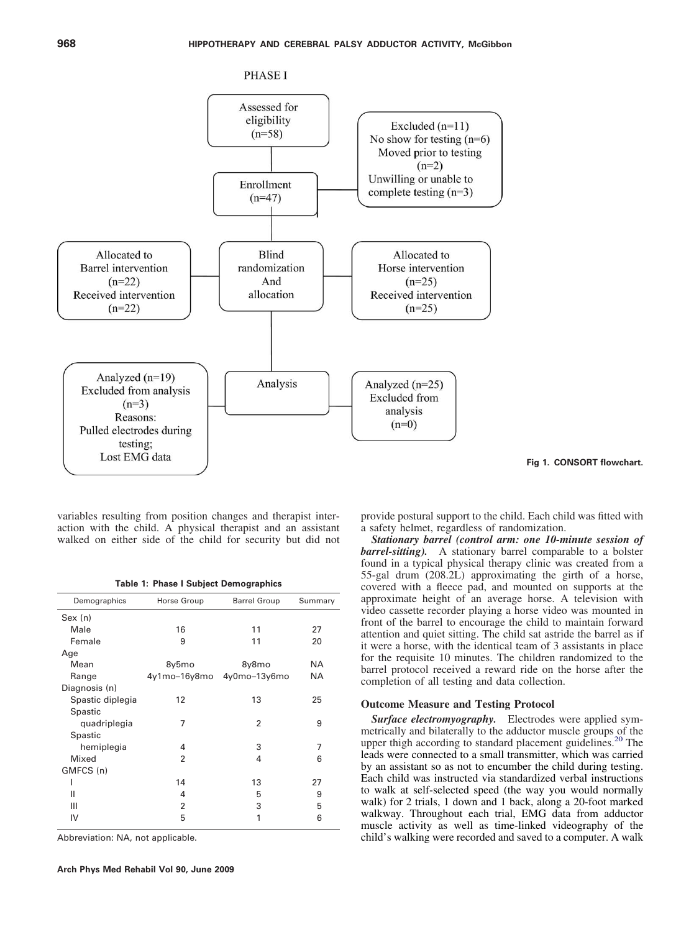<span id="page-3-0"></span>

variables resulting from position changes and therapist interaction with the child. A physical therapist and an assistant walked on either side of the child for security but did not

**Table 1: Phase I Subject Demographics**

| Demographics     | Horse Group    | <b>Barrel Group</b> | Summary   |
|------------------|----------------|---------------------|-----------|
| Sex (n)          |                |                     |           |
| Male             | 16             | 11                  | 27        |
| Female           | 9              | 11                  | 20        |
| Age              |                |                     |           |
| Mean             | 8y5mo          | 8y8mo               | <b>NA</b> |
| Range            | 4y1mo–16y8mo   | 4y0mo-13y6mo        | <b>NA</b> |
| Diagnosis (n)    |                |                     |           |
| Spastic diplegia | 12             | 13                  | 25        |
| Spastic          |                |                     |           |
| quadriplegia     | 7              | $\overline{2}$      | 9         |
| Spastic          |                |                     |           |
| hemiplegia       | 4              | 3                   | 7         |
| Mixed            | $\overline{2}$ | 4                   | 6         |
| GMFCS (n)        |                |                     |           |
|                  | 14             | 13                  | 27        |
| Ш                | 4              | 5                   | 9         |
| Ш                | $\overline{2}$ | 3                   | 5         |
| IV               | 5              | 1                   | 6         |
|                  |                |                     |           |

Abbreviation: NA, not applicable.

**Fig 1. CONSORT flowchart.**

provide postural support to the child. Each child was fitted with a safety helmet, regardless of randomization.

*Stationary barrel (control arm: one 10-minute session of barrel-sitting).* A stationary barrel comparable to a bolster found in a typical physical therapy clinic was created from a 55-gal drum (208.2L) approximating the girth of a horse, covered with a fleece pad, and mounted on supports at the approximate height of an average horse. A television with video cassette recorder playing a horse video was mounted in front of the barrel to encourage the child to maintain forward attention and quiet sitting. The child sat astride the barrel as if it were a horse, with the identical team of 3 assistants in place for the requisite 10 minutes. The children randomized to the barrel protocol received a reward ride on the horse after the completion of all testing and data collection.

#### **Outcome Measure and Testing Protocol**

*Surface electromyography.* Electrodes were applied symmetrically and bilaterally to the adductor muscle groups of the upper thigh according to standard placement guidelines.<sup>[20](#page-9-0)</sup> The leads were connected to a small transmitter, which was carried by an assistant so as not to encumber the child during testing. Each child was instructed via standardized verbal instructions to walk at self-selected speed (the way you would normally walk) for 2 trials, 1 down and 1 back, along a 20-foot marked walkway. Throughout each trial, EMG data from adductor muscle activity as well as time-linked videography of the child's walking were recorded and saved to a computer. A walk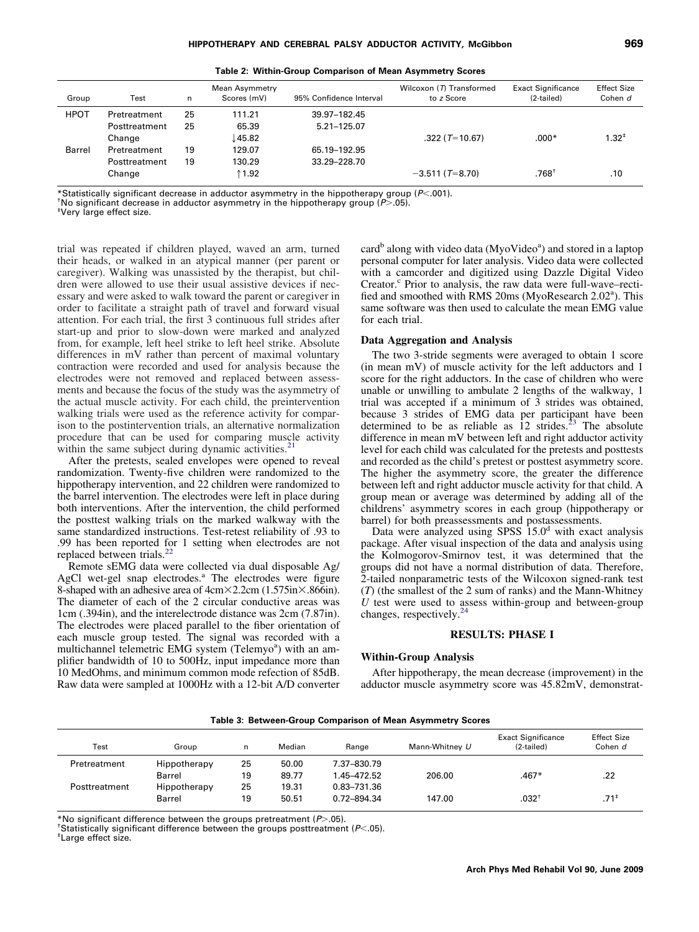|    |   | I  |
|----|---|----|
| ۰. | ٦ |    |
| ×  | × | w  |
| v  | ٠ | ۰. |

<span id="page-4-0"></span>

| Group       | Test          | n  | Mean Asymmetry<br>Scores (mV) | 95% Confidence Interval | Wilcoxon (7) Transformed<br>to z Score | <b>Exact Significance</b><br>(2-tailed) | <b>Effect Size</b><br>Cohen d |
|-------------|---------------|----|-------------------------------|-------------------------|----------------------------------------|-----------------------------------------|-------------------------------|
| <b>HPOT</b> | Pretreatment  | 25 | 111.21                        | 39.97-182.45            |                                        |                                         |                               |
|             | Posttreatment | 25 | 65.39                         | 5.21-125.07             |                                        |                                         |                               |
|             | Change        |    | ↓45.82                        |                         | $.322$ (T=10.67)                       | $.000*$                                 | $1.32^{+}$                    |
| Barrel      | Pretreatment  | 19 | 129.07                        | 65.19-192.95            |                                        |                                         |                               |
|             | Posttreatment | 19 | 130.29                        | 33.29-228.70            |                                        |                                         |                               |
|             | Change        |    | $\uparrow$ 1.92               |                         | $-3.511$ (T=8.70)                      | $.768^{\dagger}$                        | .10                           |

**Table 2: Within-Group Comparison of Mean Asymmetry Scores**

\*Statistically significant decrease in adductor asymmetry in the hippotherapy group (*P<*.001).<br>†No significant decrease in adductor asymmetry in the hippotherapy group (*P>*.05).<br>‡Very large effect size

Very large effect size.

trial was repeated if children played, waved an arm, turned their heads, or walked in an atypical manner (per parent or caregiver). Walking was unassisted by the therapist, but children were allowed to use their usual assistive devices if necessary and were asked to walk toward the parent or caregiver in order to facilitate a straight path of travel and forward visual attention. For each trial, the first 3 continuous full strides after start-up and prior to slow-down were marked and analyzed from, for example, left heel strike to left heel strike. Absolute differences in mV rather than percent of maximal voluntary contraction were recorded and used for analysis because the electrodes were not removed and replaced between assessments and because the focus of the study was the asymmetry of the actual muscle activity. For each child, the preintervention walking trials were used as the reference activity for comparison to the postintervention trials, an alternative normalization procedure that can be used for comparing muscle activity within the same subject during dynamic activities.

After the pretests, sealed envelopes were opened to reveal randomization. Twenty-five children were randomized to the hippotherapy intervention, and 22 children were randomized to the barrel intervention. The electrodes were left in place during both interventions. After the intervention, the child performed the posttest walking trials on the marked walkway with the same standardized instructions. Test-retest reliability of .93 to .99 has been reported for 1 setting when electrodes are not replaced between trials.<sup>2</sup>

Remote sEMG data were collected via dual disposable Ag/ AgCl wet-gel snap electrodes.<sup>a</sup> The electrodes were figure 8-shaped with an adhesive area of  $4cm \times 2.2cm$  (1.575in $\times$ .866in). The diameter of each of the 2 circular conductive areas was 1cm (.394in), and the interelectrode distance was 2cm (7.87in). The electrodes were placed parallel to the fiber orientation of each muscle group tested. The signal was recorded with a multichannel telemetric EMG system (Telemyo<sup>a</sup>) with an amplifier bandwidth of 10 to 500Hz, input impedance more than 10 MedOhms, and minimum common mode refection of 85dB. Raw data were sampled at 1000Hz with a 12-bit A/D converter

card<sup>b</sup> along with video data (MyoVideo<sup>a</sup>) and stored in a laptop personal computer for later analysis. Video data were collected with a camcorder and digitized using Dazzle Digital Video Creator.<sup>c</sup> Prior to analysis, the raw data were full-wave–rectified and smoothed with RMS 20ms (MyoResearch 2.02<sup>a</sup>). This same software was then used to calculate the mean EMG value for each trial.

#### **Data Aggregation and Analysis**

The two 3-stride segments were averaged to obtain 1 score (in mean mV) of muscle activity for the left adductors and 1 score for the right adductors. In the case of children who were unable or unwilling to ambulate 2 lengths of the walkway, 1 trial was accepted if a minimum of 3 strides was obtained, because 3 strides of EMG data per participant have been determined to be as reliable as  $12 \text{ strides}$ .<sup>23</sup> The absolute difference in mean mV between left and right adductor activity level for each child was calculated for the pretests and posttests and recorded as the child's pretest or posttest asymmetry score. The higher the asymmetry score, the greater the difference between left and right adductor muscle activity for that child. A group mean or average was determined by adding all of the childrens' asymmetry scores in each group (hippotherapy or barrel) for both preassessments and postassessments.

Data were analyzed using SPSS  $15.0<sup>d</sup>$  with exact analysis package. After visual inspection of the data and analysis using the Kolmogorov-Smirnov test, it was determined that the groups did not have a normal distribution of data. Therefore, 2-tailed nonparametric tests of the Wilcoxon signed-rank test (*T*) (the smallest of the 2 sum of ranks) and the Mann-Whitney *U* test were used to assess within-group and between-group changes, respectively.<sup>[24](#page-9-0)</sup>

## **RESULTS: PHASE I**

#### **Within-Group Analysis**

After hippotherapy, the mean decrease (improvement) in the adductor muscle asymmetry score was 45.82mV, demonstrat-

**Table 3: Between-Group Comparison of Mean Asymmetry Scores**

| Test          | Group         | n  | Median | Range       | Mann-Whitney U | <b>Exact Significance</b><br>(2-tailed) | <b>Effect Size</b><br>Cohen d |
|---------------|---------------|----|--------|-------------|----------------|-----------------------------------------|-------------------------------|
| Pretreatment  | Hippotherapy  | 25 | 50.00  | 7.37-830.79 |                |                                         |                               |
|               | <b>Barrel</b> | 19 | 89.77  | 1.45–472.52 | 206.00         | .467*                                   | .22                           |
| Posttreatment | Hippotherapy  | 25 | 19.31  | 0.83-731.36 |                |                                         |                               |
|               | <b>Barrel</b> | 19 | 50.51  | 0.72-894.34 | 147.00         | $.032^+$                                | $.71*$                        |

\*No significant difference between the groups pretreatment (*P*.05). †

<sup>†</sup>Statistically significant difference between the groups posttreatment (*P*<.05).<br><sup>‡</sup>l arge offect size

Large effect size.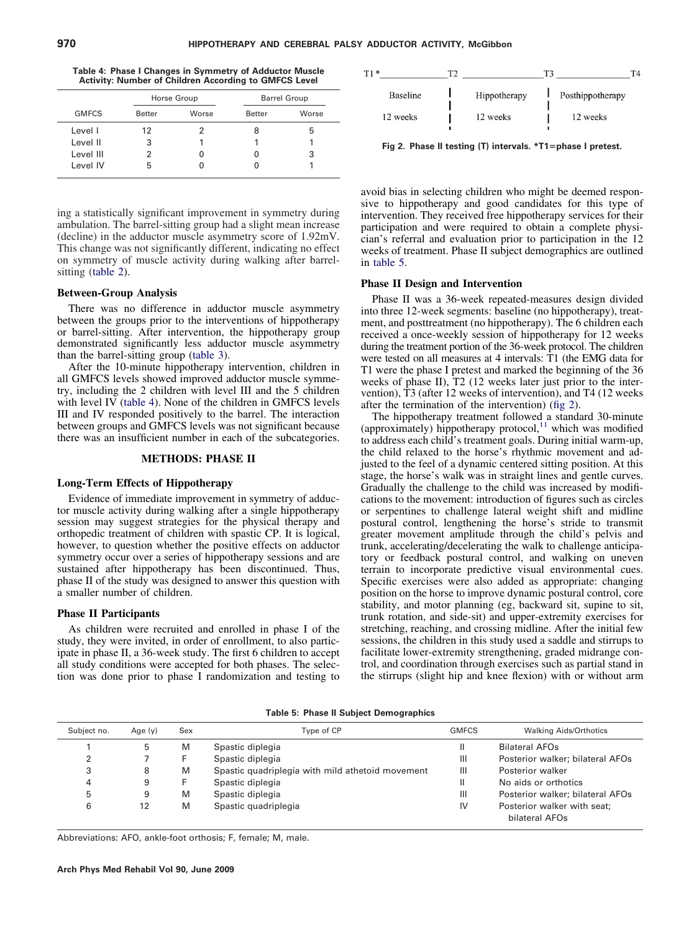**Table 4: Phase I Changes in Symmetry of Adductor Muscle Activity: Number of Children According to GMFCS Level**

|              |               | Horse Group |               | <b>Barrel Group</b> |
|--------------|---------------|-------------|---------------|---------------------|
| <b>GMFCS</b> | <b>Better</b> | Worse       | <b>Better</b> | Worse               |
| Level I      | 12            |             |               | h                   |
| Level II     | 3             |             |               |                     |
| Level III    | 2             | 0           |               |                     |
| Level IV     | 5             |             |               |                     |

ing a statistically significant improvement in symmetry during ambulation. The barrel-sitting group had a slight mean increase (decline) in the adductor muscle asymmetry score of 1.92mV. This change was not significantly different, indicating no effect on symmetry of muscle activity during walking after barrel-sitting [\(table 2\)](#page-4-0).

#### **Between-Group Analysis**

There was no difference in adductor muscle asymmetry between the groups prior to the interventions of hippotherapy or barrel-sitting. After intervention, the hippotherapy group demonstrated significantly less adductor muscle asymmetry than the barrel-sitting group [\(table 3\)](#page-4-0).

After the 10-minute hippotherapy intervention, children in all GMFCS levels showed improved adductor muscle symmetry, including the 2 children with level III and the 5 children with level IV (table 4). None of the children in GMFCS levels III and IV responded positively to the barrel. The interaction between groups and GMFCS levels was not significant because there was an insufficient number in each of the subcategories.

#### **METHODS: PHASE II**

#### **Long-Term Effects of Hippotherapy**

Evidence of immediate improvement in symmetry of adductor muscle activity during walking after a single hippotherapy session may suggest strategies for the physical therapy and orthopedic treatment of children with spastic CP. It is logical, however, to question whether the positive effects on adductor symmetry occur over a series of hippotherapy sessions and are sustained after hippotherapy has been discontinued. Thus, phase II of the study was designed to answer this question with a smaller number of children.

#### **Phase II Participants**

As children were recruited and enrolled in phase I of the study, they were invited, in order of enrollment, to also participate in phase II, a 36-week study. The first 6 children to accept all study conditions were accepted for both phases. The selection was done prior to phase I randomization and testing to

| $T1*$ |                 |              |                  | T4 |
|-------|-----------------|--------------|------------------|----|
|       | <b>Baseline</b> | Hippotherapy | Posthippotherapy |    |
|       | 12 weeks        | 12 weeks     | 12 weeks         |    |

**Fig 2. Phase II testing (T) intervals. \*T1phase I pretest.**

avoid bias in selecting children who might be deemed responsive to hippotherapy and good candidates for this type of intervention. They received free hippotherapy services for their participation and were required to obtain a complete physician's referral and evaluation prior to participation in the 12 weeks of treatment. Phase II subject demographics are outlined in table 5.

#### **Phase II Design and Intervention**

Phase II was a 36-week repeated-measures design divided into three 12-week segments: baseline (no hippotherapy), treatment, and posttreatment (no hippotherapy). The 6 children each received a once-weekly session of hippotherapy for 12 weeks during the treatment portion of the 36-week protocol. The children were tested on all measures at 4 intervals: T1 (the EMG data for T1 were the phase I pretest and marked the beginning of the 36 weeks of phase II), T2 (12 weeks later just prior to the intervention), T3 (after 12 weeks of intervention), and T4 (12 weeks after the termination of the intervention) (fig 2).

The hippotherapy treatment followed a standard 30-minute (approximately) hippotherapy protocol,<sup>[11](#page-9-0)</sup> which was modified to address each child's treatment goals. During initial warm-up, the child relaxed to the horse's rhythmic movement and adjusted to the feel of a dynamic centered sitting position. At this stage, the horse's walk was in straight lines and gentle curves. Gradually the challenge to the child was increased by modifications to the movement: introduction of figures such as circles or serpentines to challenge lateral weight shift and midline postural control, lengthening the horse's stride to transmit greater movement amplitude through the child's pelvis and trunk, accelerating/decelerating the walk to challenge anticipatory or feedback postural control, and walking on uneven terrain to incorporate predictive visual environmental cues. Specific exercises were also added as appropriate: changing position on the horse to improve dynamic postural control, core stability, and motor planning (eg, backward sit, supine to sit, trunk rotation, and side-sit) and upper-extremity exercises for stretching, reaching, and crossing midline. After the initial few sessions, the children in this study used a saddle and stirrups to facilitate lower-extremity strengthening, graded midrange control, and coordination through exercises such as partial stand in the stirrups (slight hip and knee flexion) with or without arm

**Table 5: Phase II Subject Demographics**

| Subject no. | Age $(y)$ | Sex | Type of CP                                       | <b>GMFCS</b> | <b>Walking Aids/Orthotics</b>                 |
|-------------|-----------|-----|--------------------------------------------------|--------------|-----------------------------------------------|
|             | b         | M   | Spastic diplegia                                 |              | <b>Bilateral AFOs</b>                         |
|             |           |     | Spastic diplegia                                 | Ш            | Posterior walker; bilateral AFOs              |
|             | 8         | M   | Spastic quadriplegia with mild athetoid movement | Ш            | Posterior walker                              |
| 4           | 9         |     | Spastic diplegia                                 | Ш            | No aids or orthotics                          |
| 5           | 9         | M   | Spastic diplegia                                 | Ш            | Posterior walker; bilateral AFOs              |
| 6           | 12        | M   | Spastic quadriplegia                             | IV           | Posterior walker with seat;<br>bilateral AFOs |

Abbreviations: AFO, ankle-foot orthosis; F, female; M, male.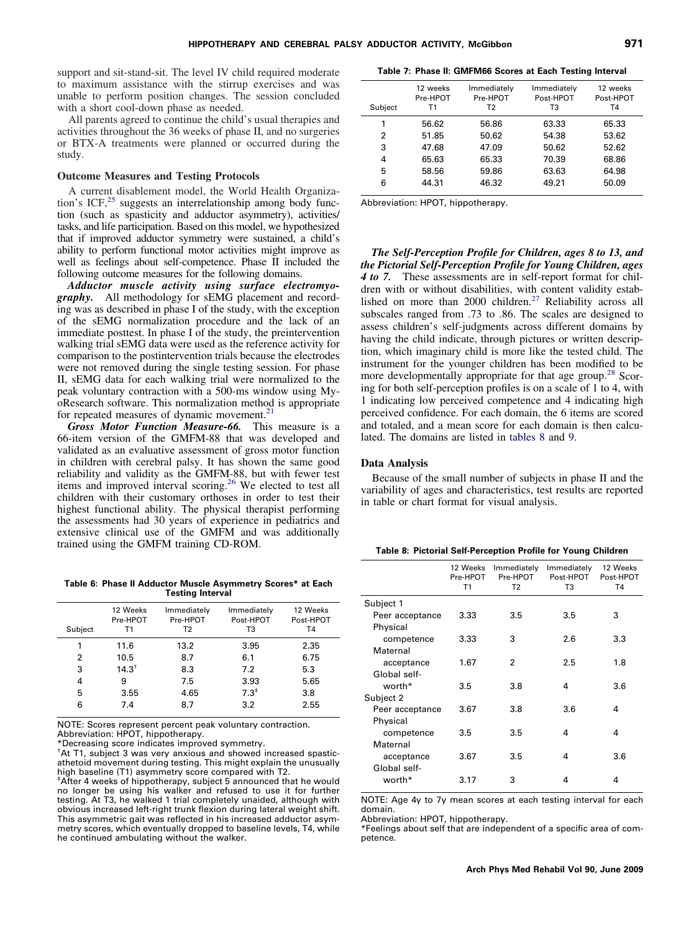<span id="page-6-0"></span>support and sit-stand-sit. The level IV child required moderate to maximum assistance with the stirrup exercises and was unable to perform position changes. The session concluded with a short cool-down phase as needed.

All parents agreed to continue the child's usual therapies and activities throughout the 36 weeks of phase II, and no surgeries or BTX-A treatments were planned or occurred during the study.

#### **Outcome Measures and Testing Protocols**

A current disablement model, the World Health Organiza-tion's ICF,<sup>[25](#page-9-0)</sup> suggests an interrelationship among body function (such as spasticity and adductor asymmetry), activities/ tasks, and life participation. Based on this model, we hypothesized that if improved adductor symmetry were sustained, a child's ability to perform functional motor activities might improve as well as feelings about self-competence. Phase II included the following outcome measures for the following domains.

*Adductor muscle activity using surface electromyography.* All methodology for sEMG placement and recording was as described in phase I of the study, with the exception of the sEMG normalization procedure and the lack of an immediate posttest. In phase I of the study, the preintervention walking trial sEMG data were used as the reference activity for comparison to the postintervention trials because the electrodes were not removed during the single testing session. For phase II, sEMG data for each walking trial were normalized to the peak voluntary contraction with a 500-ms window using MyoResearch software. This normalization method is appropriate for repeated measures of dynamic movement.<sup>21</sup>

*Gross Motor Function Measure-66.* This measure is a 66-item version of the GMFM-88 that was developed and validated as an evaluative assessment of gross motor function in children with cerebral palsy. It has shown the same good reliability and validity as the GMFM-88, but with fewer test items and improved interval scoring.<sup>[26](#page-9-0)</sup> We elected to test all children with their customary orthoses in order to test their highest functional ability. The physical therapist performing the assessments had 30 years of experience in pediatrics and extensive clinical use of the GMFM and was additionally trained using the GMFM training CD-ROM.

**Table 6: Phase II Adductor Muscle Asymmetry Scores\* at Each Testing Interval**

| Subject | 12 Weeks<br>Pre-HPOT<br>Τ1 | Immediately<br>Pre-HPOT<br>T2 | Immediately<br>Post-HPOT<br>T3 | 12 Weeks<br>Post-HPOT<br>T4 |
|---------|----------------------------|-------------------------------|--------------------------------|-----------------------------|
|         | 11.6                       | 13.2                          | 3.95                           | 2.35                        |
| 2       | 10.5                       | 8.7                           | 6.1                            | 6.75                        |
| 3       | $14.3^{+}$                 | 8.3                           | 7.2                            | 5.3                         |
| 4       | 9                          | 7.5                           | 3.93                           | 5.65                        |
| 5       | 3.55                       | 4.65                          | $7.3^*$                        | 3.8                         |
| 6       | 7.4                        | 8.7                           | 3.2                            | 2.55                        |

NOTE: Scores represent percent peak voluntary contraction. Abbreviation: HPOT, hippotherapy.

\*Decreasing score indicates improved symmetry.

† At T1, subject 3 was very anxious and showed increased spasticathetoid movement during testing. This might explain the unusually high baseline (T1) asymmetry score compared with T2.

‡ After 4 weeks of hippotherapy, subject 5 announced that he would no longer be using his walker and refused to use it for further testing. At T3, he walked 1 trial completely unaided, although with obvious increased left-right trunk flexion during lateral weight shift. This asymmetric gait was reflected in his increased adductor asymmetry scores, which eventually dropped to baseline levels, T4, while he continued ambulating without the walker.

**Table 7: Phase II: GMFM66 Scores at Each Testing Interval**

| Subject | 12 weeks<br>Pre-HPOT<br>Τ1 | Immediately<br>Pre-HPOT<br>Т2 | Immediately<br>Post-HPOT<br>тз | 12 weeks<br>Post-HPOT<br>T4 |
|---------|----------------------------|-------------------------------|--------------------------------|-----------------------------|
| 1       | 56.62                      | 56.86                         | 63.33                          | 65.33                       |
| 2       | 51.85                      | 50.62                         | 54.38                          | 53.62                       |
| 3       | 47.68                      | 47.09                         | 50.62                          | 52.62                       |
| 4       | 65.63                      | 65.33                         | 70.39                          | 68.86                       |
| 5       | 58.56                      | 59.86                         | 63.63                          | 64.98                       |
| 6       | 44.31                      | 46.32                         | 49.21                          | 50.09                       |

Abbreviation: HPOT, hippotherapy.

*The Self-Perception Profile for Children, ages 8 to 13, and the Pictorial Self-Perception Profile for Young Children, ages 4 to 7.* These assessments are in self-report format for children with or without disabilities, with content validity estab-lished on more than 2000 children.<sup>[27](#page-9-0)</sup> Reliability across all subscales ranged from .73 to .86. The scales are designed to assess children's self-judgments across different domains by having the child indicate, through pictures or written description, which imaginary child is more like the tested child. The instrument for the younger children has been modified to be more developmentally appropriate for that age group.<sup>28</sup> Scoring for both self-perception profiles is on a scale of 1 to 4, with 1 indicating low perceived competence and 4 indicating high perceived confidence. For each domain, the 6 items are scored and totaled, and a mean score for each domain is then calculated. The domains are listed in tables 8 and [9.](#page-7-0)

#### **Data Analysis**

Because of the small number of subjects in phase II and the variability of ages and characteristics, test results are reported in table or chart format for visual analysis.

| Table 8: Pictorial Self-Perception Profile for Young Children |
|---------------------------------------------------------------|
|---------------------------------------------------------------|

|                             | 12 Weeks<br>Pre-HPOT<br>T1 | Immediately<br>Pre-HPOT<br>T <sub>2</sub> | Immediately<br>Post-HPOT<br>T3 | 12 Weeks<br>Post-HPOT<br>T4 |
|-----------------------------|----------------------------|-------------------------------------------|--------------------------------|-----------------------------|
| Subject 1                   |                            |                                           |                                |                             |
| Peer acceptance<br>Physical | 3.33                       | 3.5                                       | 3.5                            | 3                           |
| competence                  | 3.33                       | 3                                         | 2.6                            | 3.3                         |
| Maternal                    |                            |                                           |                                |                             |
| acceptance                  | 1.67                       | 2                                         | 2.5                            | 1.8                         |
| Global self-                |                            |                                           |                                |                             |
| worth*                      | 3.5                        | 3.8                                       | 4                              | 3.6                         |
| Subject 2                   |                            |                                           |                                |                             |
| Peer acceptance             | 3.67                       | 3.8                                       | 3.6                            | 4                           |
| Physical                    |                            |                                           |                                |                             |
| competence                  | 3.5                        | 3.5                                       | 4                              | 4                           |
| Maternal                    |                            |                                           |                                |                             |
| acceptance                  | 3.67                       | 3.5                                       | 4                              | 3.6                         |
| Global self-                |                            |                                           |                                |                             |
| worth*                      | 3.17                       | 3                                         | 4                              | 4                           |

NOTE: Age 4y to 7y mean scores at each testing interval for each domain.

Abbreviation: HPOT, hippotherapy.

\*Feelings about self that are independent of a specific area of competence.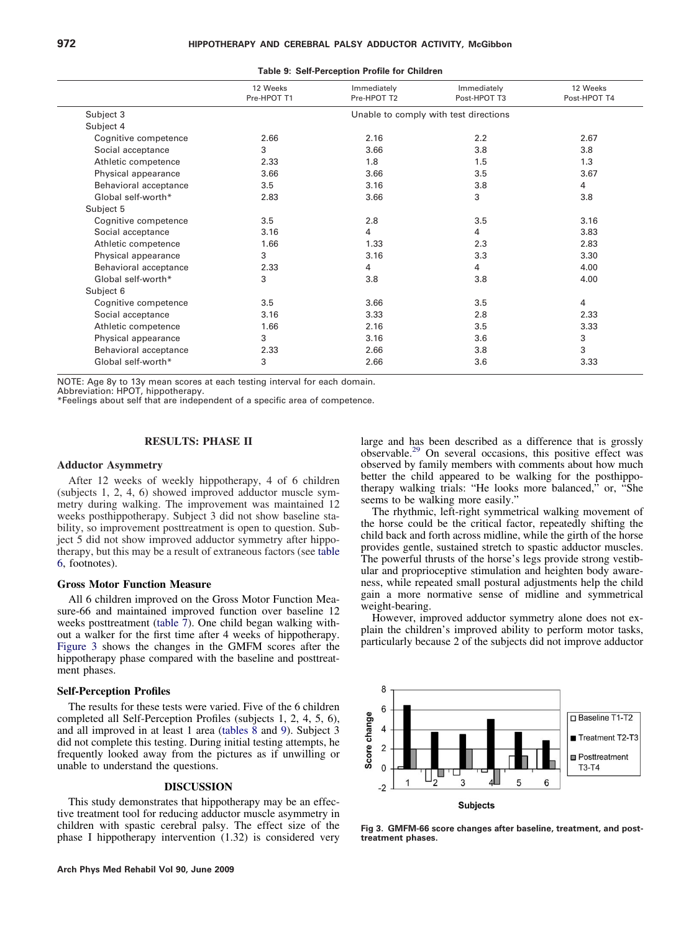<span id="page-7-0"></span>

|                       | 12 Weeks<br>Pre-HPOT T1               | Immediately<br>Pre-HPOT T2 | Immediately<br>Post-HPOT T3 | 12 Weeks<br>Post-HPOT T4 |  |
|-----------------------|---------------------------------------|----------------------------|-----------------------------|--------------------------|--|
| Subject 3             | Unable to comply with test directions |                            |                             |                          |  |
| Subject 4             |                                       |                            |                             |                          |  |
| Cognitive competence  | 2.66                                  | 2.16                       | 2.2                         | 2.67                     |  |
| Social acceptance     | 3                                     | 3.66                       | 3.8                         | 3.8                      |  |
| Athletic competence   | 2.33                                  | 1.8                        | 1.5                         | 1.3                      |  |
| Physical appearance   | 3.66                                  | 3.66                       | 3.5                         | 3.67                     |  |
| Behavioral acceptance | 3.5                                   | 3.16                       | 3.8                         | 4                        |  |
| Global self-worth*    | 2.83                                  | 3.66                       | 3                           | 3.8                      |  |
| Subject 5             |                                       |                            |                             |                          |  |
| Cognitive competence  | 3.5                                   | 2.8                        | 3.5                         | 3.16                     |  |
| Social acceptance     | 3.16                                  | 4                          | 4                           | 3.83                     |  |
| Athletic competence   | 1.66                                  | 1.33                       | 2.3                         | 2.83                     |  |
| Physical appearance   | 3                                     | 3.16                       | 3.3                         | 3.30                     |  |
| Behavioral acceptance | 2.33                                  | 4                          | 4                           | 4.00                     |  |
| Global self-worth*    | 3                                     | 3.8                        | 3.8                         | 4.00                     |  |
| Subject 6             |                                       |                            |                             |                          |  |
| Cognitive competence  | 3.5                                   | 3.66                       | 3.5                         | 4                        |  |
| Social acceptance     | 3.16                                  | 3.33                       | 2.8                         | 2.33                     |  |
| Athletic competence   | 1.66                                  | 2.16                       | 3.5                         | 3.33                     |  |
| Physical appearance   | 3                                     | 3.16                       | 3.6                         | 3                        |  |
| Behavioral acceptance | 2.33                                  | 2.66                       | 3.8                         | 3                        |  |
| Global self-worth*    | 3                                     | 2.66                       | 3.6                         | 3.33                     |  |

**Table 9: Self-Perception Profile for Children**

NOTE: Age 8y to 13y mean scores at each testing interval for each domain.

Abbreviation: HPOT, hippotherapy.

\*Feelings about self that are independent of a specific area of competence.

#### **RESULTS: PHASE II**

#### **Adductor Asymmetry**

After 12 weeks of weekly hippotherapy, 4 of 6 children (subjects 1, 2, 4, 6) showed improved adductor muscle symmetry during walking. The improvement was maintained 12 weeks posthippotherapy. Subject 3 did not show baseline stability, so improvement posttreatment is open to question. Subject 5 did not show improved adductor symmetry after hippotherapy, but this may be a result of extraneous factors (see [table](#page-6-0) [6,](#page-6-0) footnotes).

#### **Gross Motor Function Measure**

All 6 children improved on the Gross Motor Function Measure-66 and maintained improved function over baseline 12 weeks posttreatment [\(table 7\)](#page-6-0). One child began walking without a walker for the first time after 4 weeks of hippotherapy. Figure 3 shows the changes in the GMFM scores after the hippotherapy phase compared with the baseline and posttreatment phases.

#### **Self-Perception Profiles**

The results for these tests were varied. Five of the 6 children completed all Self-Perception Profiles (subjects 1, 2, 4, 5, 6), and all improved in at least 1 area (tables 8 and 9). Subject 3 did not complete this testing. During initial testing attempts, he frequently looked away from the pictures as if unwilling or unable to understand the questions.

#### **DISCUSSION**

This study demonstrates that hippotherapy may be an effective treatment tool for reducing adductor muscle asymmetry in children with spastic cerebral palsy. The effect size of the phase I hippotherapy intervention (1.32) is considered very

large and has been described as a difference that is grossly observable.[29](#page-9-0) On several occasions, this positive effect was observed by family members with comments about how much better the child appeared to be walking for the posthippotherapy walking trials: "He looks more balanced," or, "She seems to be walking more easily."

The rhythmic, left-right symmetrical walking movement of the horse could be the critical factor, repeatedly shifting the child back and forth across midline, while the girth of the horse provides gentle, sustained stretch to spastic adductor muscles. The powerful thrusts of the horse's legs provide strong vestibular and proprioceptive stimulation and heighten body awareness, while repeated small postural adjustments help the child gain a more normative sense of midline and symmetrical weight-bearing.

However, improved adductor symmetry alone does not explain the children's improved ability to perform motor tasks, particularly because 2 of the subjects did not improve adductor



**Fig 3. GMFM-66 score changes after baseline, treatment, and posttreatment phases.**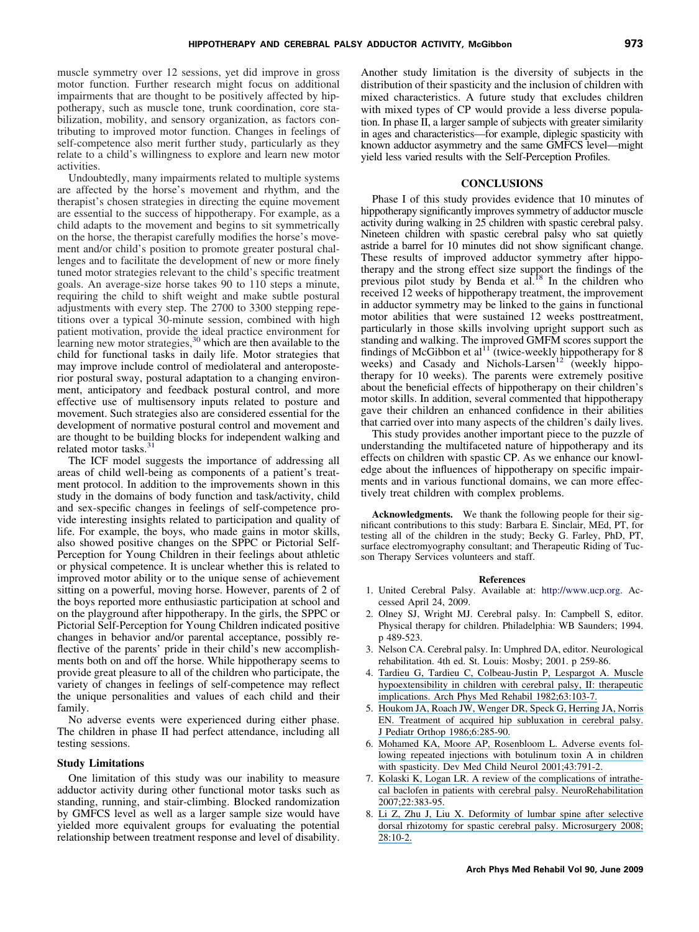<span id="page-8-0"></span>muscle symmetry over 12 sessions, yet did improve in gross motor function. Further research might focus on additional impairments that are thought to be positively affected by hippotherapy, such as muscle tone, trunk coordination, core stabilization, mobility, and sensory organization, as factors contributing to improved motor function. Changes in feelings of self-competence also merit further study, particularly as they relate to a child's willingness to explore and learn new motor activities.

Undoubtedly, many impairments related to multiple systems are affected by the horse's movement and rhythm, and the therapist's chosen strategies in directing the equine movement are essential to the success of hippotherapy. For example, as a child adapts to the movement and begins to sit symmetrically on the horse, the therapist carefully modifies the horse's movement and/or child's position to promote greater postural challenges and to facilitate the development of new or more finely tuned motor strategies relevant to the child's specific treatment goals. An average-size horse takes 90 to 110 steps a minute, requiring the child to shift weight and make subtle postural adjustments with every step. The 2700 to 3300 stepping repetitions over a typical 30-minute session, combined with high patient motivation, provide the ideal practice environment for learning new motor strategies,<sup>[30](#page-9-0)</sup> which are then available to the child for functional tasks in daily life. Motor strategies that may improve include control of mediolateral and anteroposterior postural sway, postural adaptation to a changing environment, anticipatory and feedback postural control, and more effective use of multisensory inputs related to posture and movement. Such strategies also are considered essential for the development of normative postural control and movement and are thought to be building blocks for independent walking and related motor tasks.<sup>3</sup>

The ICF model suggests the importance of addressing all areas of child well-being as components of a patient's treatment protocol. In addition to the improvements shown in this study in the domains of body function and task/activity, child and sex-specific changes in feelings of self-competence provide interesting insights related to participation and quality of life. For example, the boys, who made gains in motor skills, also showed positive changes on the SPPC or Pictorial Self-Perception for Young Children in their feelings about athletic or physical competence. It is unclear whether this is related to improved motor ability or to the unique sense of achievement sitting on a powerful, moving horse. However, parents of 2 of the boys reported more enthusiastic participation at school and on the playground after hippotherapy. In the girls, the SPPC or Pictorial Self-Perception for Young Children indicated positive changes in behavior and/or parental acceptance, possibly reflective of the parents' pride in their child's new accomplishments both on and off the horse. While hippotherapy seems to provide great pleasure to all of the children who participate, the variety of changes in feelings of self-competence may reflect the unique personalities and values of each child and their family.

No adverse events were experienced during either phase. The children in phase II had perfect attendance, including all testing sessions.

#### **Study Limitations**

One limitation of this study was our inability to measure adductor activity during other functional motor tasks such as standing, running, and stair-climbing. Blocked randomization by GMFCS level as well as a larger sample size would have yielded more equivalent groups for evaluating the potential relationship between treatment response and level of disability. Another study limitation is the diversity of subjects in the distribution of their spasticity and the inclusion of children with mixed characteristics. A future study that excludes children with mixed types of CP would provide a less diverse population. In phase II, a larger sample of subjects with greater similarity in ages and characteristics—for example, diplegic spasticity with known adductor asymmetry and the same GMFCS level—might yield less varied results with the Self-Perception Profiles.

#### **CONCLUSIONS**

Phase I of this study provides evidence that 10 minutes of hippotherapy significantly improves symmetry of adductor muscle activity during walking in 25 children with spastic cerebral palsy. Nineteen children with spastic cerebral palsy who sat quietly astride a barrel for 10 minutes did not show significant change. These results of improved adductor symmetry after hippotherapy and the strong effect size support the findings of the previous pilot study by Benda et  $a^{1.18}$  $a^{1.18}$  $a^{1.18}$  In the children who received 12 weeks of hippotherapy treatment, the improvement in adductor symmetry may be linked to the gains in functional motor abilities that were sustained 12 weeks posttreatment, particularly in those skills involving upright support such as standing and walking. The improved GMFM scores support the findings of McGibbon et al<sup>[11](#page-9-0)</sup> (twice-weekly hippotherapy for 8 weeks) and Casady and Nichols-Larsen<sup>[12](#page-9-0)</sup> (weekly hippotherapy for 10 weeks). The parents were extremely positive about the beneficial effects of hippotherapy on their children's motor skills. In addition, several commented that hippotherapy gave their children an enhanced confidence in their abilities that carried over into many aspects of the children's daily lives.

This study provides another important piece to the puzzle of understanding the multifaceted nature of hippotherapy and its effects on children with spastic CP. As we enhance our knowledge about the influences of hippotherapy on specific impairments and in various functional domains, we can more effectively treat children with complex problems.

**Acknowledgments.** We thank the following people for their significant contributions to this study: Barbara E. Sinclair, MEd, PT, for testing all of the children in the study; Becky G. Farley, PhD, PT, surface electromyography consultant; and Therapeutic Riding of Tucson Therapy Services volunteers and staff.

#### **References**

- 1. United Cerebral Palsy. Available at: [http://www.ucp.org.](http://www.ucp.org) Accessed April 24, 2009.
- 2. Olney SJ, Wright MJ. Cerebral palsy. In: Campbell S, editor. Physical therapy for children. Philadelphia: WB Saunders; 1994. p 489-523.
- 3. Nelson CA. Cerebral palsy. In: Umphred DA, editor. Neurological rehabilitation. 4th ed. St. Louis: Mosby; 2001. p 259-86.
- 4. [Tardieu G, Tardieu C, Colbeau-Justin P, Lespargot A. Muscle](https://www.researchgate.net/publication/16126496_Muscle_hypoextensibility_in_children_with_cerebral_palsy_II_Therapeutic_implications?el=1_x_8&enrichId=rgreq-b7e254b5dcd6b5446fdec8918ad9fb0a-XXX&enrichSource=Y292ZXJQYWdlOzI2MjUxODMzO0FTOjEyMTg1NDE4MjMwMTY5NkAxNDA2MDYzNzA5NDY4) [hypoextensibility in children with cerebral palsy, II: therapeutic](https://www.researchgate.net/publication/16126496_Muscle_hypoextensibility_in_children_with_cerebral_palsy_II_Therapeutic_implications?el=1_x_8&enrichId=rgreq-b7e254b5dcd6b5446fdec8918ad9fb0a-XXX&enrichSource=Y292ZXJQYWdlOzI2MjUxODMzO0FTOjEyMTg1NDE4MjMwMTY5NkAxNDA2MDYzNzA5NDY4) [implications. Arch Phys Med Rehabil 1982;63:103-7.](https://www.researchgate.net/publication/16126496_Muscle_hypoextensibility_in_children_with_cerebral_palsy_II_Therapeutic_implications?el=1_x_8&enrichId=rgreq-b7e254b5dcd6b5446fdec8918ad9fb0a-XXX&enrichSource=Y292ZXJQYWdlOzI2MjUxODMzO0FTOjEyMTg1NDE4MjMwMTY5NkAxNDA2MDYzNzA5NDY4)
- 5. [Houkom JA, Roach JW, Wenger DR, Speck G, Herring JA, Norris](https://www.researchgate.net/publication/19451255_Treatment_of_Acquired_Hip_Subluxation_in_Cerebral_Palsy?el=1_x_8&enrichId=rgreq-b7e254b5dcd6b5446fdec8918ad9fb0a-XXX&enrichSource=Y292ZXJQYWdlOzI2MjUxODMzO0FTOjEyMTg1NDE4MjMwMTY5NkAxNDA2MDYzNzA5NDY4) [EN. Treatment of acquired hip subluxation in cerebral palsy.](https://www.researchgate.net/publication/19451255_Treatment_of_Acquired_Hip_Subluxation_in_Cerebral_Palsy?el=1_x_8&enrichId=rgreq-b7e254b5dcd6b5446fdec8918ad9fb0a-XXX&enrichSource=Y292ZXJQYWdlOzI2MjUxODMzO0FTOjEyMTg1NDE4MjMwMTY5NkAxNDA2MDYzNzA5NDY4) [J Pediatr Orthop 1986;6:285-90.](https://www.researchgate.net/publication/19451255_Treatment_of_Acquired_Hip_Subluxation_in_Cerebral_Palsy?el=1_x_8&enrichId=rgreq-b7e254b5dcd6b5446fdec8918ad9fb0a-XXX&enrichSource=Y292ZXJQYWdlOzI2MjUxODMzO0FTOjEyMTg1NDE4MjMwMTY5NkAxNDA2MDYzNzA5NDY4)
- 6. [Mohamed KA, Moore AP, Rosenbloom L. Adverse events fol](https://www.researchgate.net/publication/11626198_)[lowing repeated injections with botulinum toxin A in children](https://www.researchgate.net/publication/11626198_) [with spasticity. Dev Med Child Neurol 2001;43:791-2.](https://www.researchgate.net/publication/11626198_)
- 7. [Kolaski K, Logan LR. A review of the complications of intrathe](https://www.researchgate.net/publication/5686245_A_review_of_the_complications_of_intrathecal_baclofen_in_patients_with_cerebral_palsy?el=1_x_8&enrichId=rgreq-b7e254b5dcd6b5446fdec8918ad9fb0a-XXX&enrichSource=Y292ZXJQYWdlOzI2MjUxODMzO0FTOjEyMTg1NDE4MjMwMTY5NkAxNDA2MDYzNzA5NDY4)[cal baclofen in patients with cerebral palsy. NeuroRehabilitation](https://www.researchgate.net/publication/5686245_A_review_of_the_complications_of_intrathecal_baclofen_in_patients_with_cerebral_palsy?el=1_x_8&enrichId=rgreq-b7e254b5dcd6b5446fdec8918ad9fb0a-XXX&enrichSource=Y292ZXJQYWdlOzI2MjUxODMzO0FTOjEyMTg1NDE4MjMwMTY5NkAxNDA2MDYzNzA5NDY4) [2007;22:383-95.](https://www.researchgate.net/publication/5686245_A_review_of_the_complications_of_intrathecal_baclofen_in_patients_with_cerebral_palsy?el=1_x_8&enrichId=rgreq-b7e254b5dcd6b5446fdec8918ad9fb0a-XXX&enrichSource=Y292ZXJQYWdlOzI2MjUxODMzO0FTOjEyMTg1NDE4MjMwMTY5NkAxNDA2MDYzNzA5NDY4)
- 8. [Li Z, Zhu J, Liu X. Deformity of lumbar spine after selective](https://www.researchgate.net/publication/5767799_Deformity_of_lumbar_spine_after_selective_dorsal_rhizotomy_for_spastic_cerebral_palsy?el=1_x_8&enrichId=rgreq-b7e254b5dcd6b5446fdec8918ad9fb0a-XXX&enrichSource=Y292ZXJQYWdlOzI2MjUxODMzO0FTOjEyMTg1NDE4MjMwMTY5NkAxNDA2MDYzNzA5NDY4) [dorsal rhizotomy for spastic cerebral palsy. Microsurgery 2008;](https://www.researchgate.net/publication/5767799_Deformity_of_lumbar_spine_after_selective_dorsal_rhizotomy_for_spastic_cerebral_palsy?el=1_x_8&enrichId=rgreq-b7e254b5dcd6b5446fdec8918ad9fb0a-XXX&enrichSource=Y292ZXJQYWdlOzI2MjUxODMzO0FTOjEyMTg1NDE4MjMwMTY5NkAxNDA2MDYzNzA5NDY4) [28:10-2.](https://www.researchgate.net/publication/5767799_Deformity_of_lumbar_spine_after_selective_dorsal_rhizotomy_for_spastic_cerebral_palsy?el=1_x_8&enrichId=rgreq-b7e254b5dcd6b5446fdec8918ad9fb0a-XXX&enrichSource=Y292ZXJQYWdlOzI2MjUxODMzO0FTOjEyMTg1NDE4MjMwMTY5NkAxNDA2MDYzNzA5NDY4)